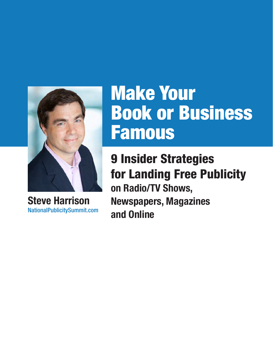

**Steve Harrison** NationalPublicitySummit.com

# Make Your Book or Business Famous

9 Insider Strategies for Landing Free Publicity **on Radio/TV Shows, Newspapers, Magazines and Online**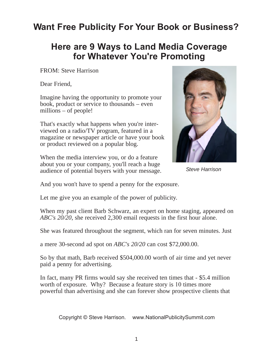# **Want Free Publicity For Your Book or Business?**

### **Here are 9 Ways to Land Media Coverage for Whatever You're Promoting**

FROM: Steve Harrison

Dear Friend,

Imagine having the opportunity to promote your book, product or service to thousands – even millions – of people!

That's exactly what happens when you're interviewed on a radio/TV program, featured in a magazine or newspaper article or have your book or product reviewed on a popular blog.

When the media interview you, or do a feature about you or your company, you'll reach a huge audience of potential buyers with your message.



*Steve Harrison*

And you won't have to spend a penny for the exposure.

Let me give you an example of the power of publicity.

When my past client Barb Schwarz, an expert on home staging, appeared on *ABC's 20/20*, she received 2,300 email requests in the first hour alone.

She was featured throughout the segment, which ran for seven minutes. Just

a mere 30-second ad spot on *ABC's 20/20* can cost \$72,000.00.

So by that math, Barb received \$504,000.00 worth of air time and yet never paid a penny for advertising.

In fact, many PR firms would say she received ten times that - \$5.4 million worth of exposure. Why? Because a feature story is 10 times more powerful than advertising and she can forever show prospective clients that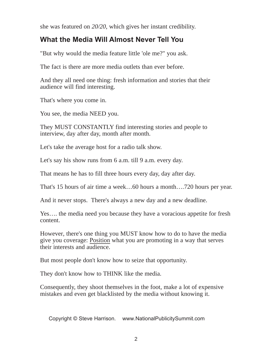she was featured on *20/20*, which gives her instant credibility.

### **What the Media Will Almost Never Tell You**

"But why would the media feature little 'ole me?" you ask.

The fact is there are more media outlets than ever before.

And they all need one thing: fresh information and stories that their audience will find interesting.

That's where you come in.

You see, the media NEED you.

They MUST CONSTANTLY find interesting stories and people to interview, day after day, month after month.

Let's take the average host for a radio talk show.

Let's say his show runs from 6 a.m. till 9 a.m. every day.

That means he has to fill three hours every day, day after day.

That's 15 hours of air time a week…60 hours a month….720 hours per year.

And it never stops. There's always a new day and a new deadline.

Yes…. the media need you because they have a voracious appetite for fresh content.

However, there's one thing you MUST know how to do to have the media give you coverage: Position what you are promoting in a way that serves their interests and audience.

But most people don't know how to seize that opportunity.

They don't know how to THINK like the media.

Consequently, they shoot themselves in the foot, make a lot of expensive mistakes and even get blacklisted by the media without knowing it.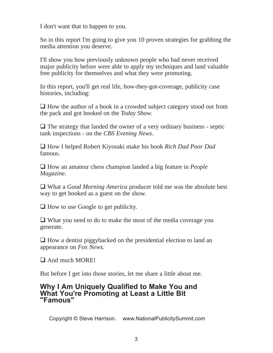I don't want that to happen to you.

So in this report I'm going to give you 10 proven strategies for grabbing the media attention you deserve.

I'll show you how previously unknown people who had never received major publicity before were able to apply my techniques and land valuable free publicity for themselves and what they were promoting.

In this report, you'll get real life, how-they-got-coverage, publicity case histories, including:

 $\Box$  How the author of a book in a crowded subject category stood out from the pack and got booked on the *Today Show*.

 $\Box$  The strategy that landed the owner of a very ordinary business - septic tank inspections - on the *CBS Evening News*.

 How I helped Robert Kiyosaki make his book *Rich Dad Poor Dad* famous.

 How an amateur chess champion landed a big feature in *People Magazine*.

 What a *Good Morning America* producer told me was the absolute best way to get booked as a guest on the show.

 $\Box$  How to use Google to get publicity.

 What you need to do to make the most of the media coverage you generate.

 $\Box$  How a dentist piggybacked on the presidential election to land an appearance on *Fox News.*

 $\Box$  And much MORE!

But before I get into those stories, let me share a little about me.

#### **Why I Am Uniquely Qualified to Make You and What You're Promoting at Least a Little Bit "Famous"**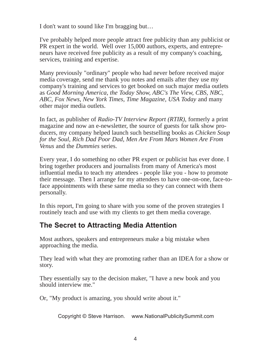I don't want to sound like I'm bragging but…

I've probably helped more people attract free publicity than any publicist or PR expert in the world. Well over 15,000 authors, experts, and entrepreneurs have received free publicity as a result of my company's coaching, services, training and expertise.

Many previously "ordinary" people who had never before received major media coverage, send me thank you notes and emails after they use my company's training and services to get booked on such major media outlets as *Good Morning America, the Today Show, ABC's The View, CBS, NBC, ABC, Fox News, New York Times, Time Magazine, USA Today* and many other major media outlets.

In fact, as publisher of *Radio-TV Interview Report (RTIR)*, formerly a print magazine and now an e-newsletter, the source of guests for talk show producers, my company helped launch such bestselling books as *Chicken Soup for the Soul, Rich Dad Poor Dad, Men Are From Mars Women Are From Venus* and the *Dummies* series.

Every year, I do something no other PR expert or publicist has ever done. I bring together producers and journalists from many of America's most influential media to teach my attendees - people like you - how to promote their message. Then I arrange for my attendees to have one-on-one, face-toface appointments with these same media so they can connect with them personally.

In this report, I'm going to share with you some of the proven strategies I routinely teach and use with my clients to get them media coverage.

#### **The Secret to Attracting Media Attention**

Most authors, speakers and entrepreneurs make a big mistake when approaching the media.

They lead with what they are promoting rather than an IDEA for a show or story.

They essentially say to the decision maker, "I have a new book and you should interview me."

Or, "My product is amazing, you should write about it."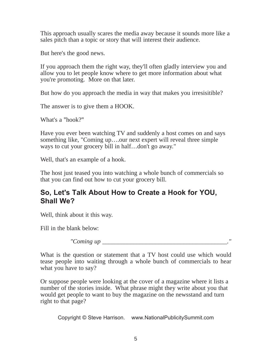This approach usually scares the media away because it sounds more like a sales pitch than a topic or story that will interest their audience.

But here's the good news.

If you approach them the right way, they'll often gladly interview you and allow you to let people know where to get more information about what you're promoting. More on that later.

But how do you approach the media in way that makes you irresisitible?

The answer is to give them a HOOK.

What's a "hook?"

Have you ever been watching TV and suddenly a host comes on and says something like, "Coming up….our next expert will reveal three simple ways to cut your grocery bill in half…don't go away."

Well, that's an example of a hook.

The host just teased you into watching a whole bunch of commercials so that you can find out how to cut your grocery bill.

### **So, Let's Talk About How to Create a Hook for YOU, Shall We?**

Well, think about it this way.

Fill in the blank below:

 $"Coming up \_\_$ 

What is the question or statement that a TV host could use which would tease people into waiting through a whole bunch of commercials to hear what you have to say?

Or suppose people were looking at the cover of a magazine where it lists a number of the stories inside. What phrase might they write about you that would get people to want to buy the magazine on the newsstand and turn right to that page?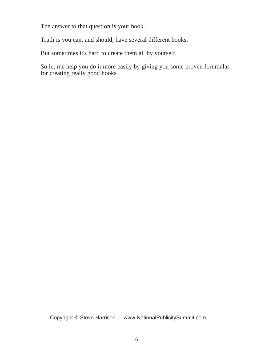The answer to that question is your hook.

Truth is you can, and should, have several different hooks.

But sometimes it's hard to create them all by yourself.

So let me help you do it more easily by giving you some proven forumulas for creating really good hooks.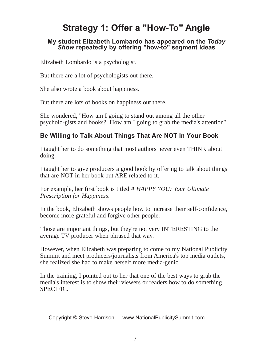# **Strategy 1: Offer a "How-To" Angle**

#### **My student Elizabeth Lombardo has appeared on the** *Today Show* **repeatedly by offering "how-to" segment ideas**

Elizabeth Lombardo is a psychologist.

But there are a lot of psychologists out there.

She also wrote a book about happiness.

But there are lots of books on happiness out there.

She wondered, "How am I going to stand out among all the other psycholo-gists and books? How am I going to grab the media's attention?

#### **Be Willing to Talk About Things That Are NOT In Your Book**

I taught her to do something that most authors never even THINK about doing.

I taught her to give producers a good hook by offering to talk about things that are NOT in her book but ARE related to it.

For example, her first book is titled *A HAPPY YOU: Your Ultimate Prescription for Happiness*.

In the book, Elizabeth shows people how to increase their self-confidence, become more grateful and forgive other people.

Those are important things, but they're not very INTERESTING to the average TV producer when phrased that way.

However, when Elizabeth was preparing to come to my National Publicity Summit and meet producers/journalists from America's top media outlets, she realized she had to make herself more media-genic.

In the training, I pointed out to her that one of the best ways to grab the media's interest is to show their viewers or readers how to do something SPECIFIC.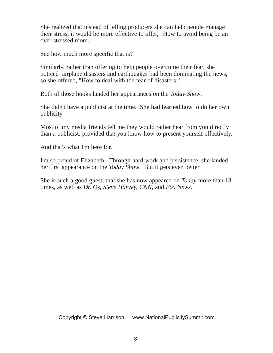She realized that instead of telling producers she can help people manage their stress, it would be more effective to offer, "How to avoid being be an over-stressed mom."

See how much more specific that is?

Similarly, rather than offering to help people overcome their fear, she noticed airplane disasters and earthquakes had been dominating the news, so she offered, "How to deal with the fear of disasters."

Both of those hooks landed her appearances on the *Today Show*.

She didn't have a publicist at the time. She had learned how to do her own publicity.

Most of my media friends tell me they would rather hear from you directly than a publicist, provided that you know how to present yourself effectively.

And that's what I'm here for.

I'm so proud of Elizabeth. Through hard work and persistence, she landed her first appearance on the *Today Show*. But it gets even better.

She is such a good guest, that she has now appeared on *Today* more than 13 times, as well as *Dr. Oz, Steve Harvey, CNN*, and *Fox News*.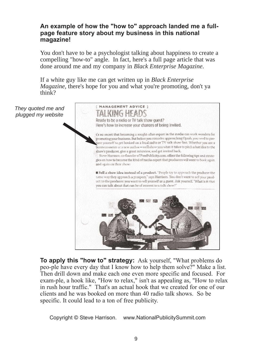#### **An example of how the "how to" approach landed me a fullpage feature story about my business in this national magazine!**

You don't have to be a psychologist talking about happiness to create a compelling "how-to" angle. In fact, here's a full page article that was done around me and my company in *Black Enterprise Magazine*.

If a white guy like me can get written up in *Black Enterprise Magazine*, there's hope for you and what you're promoting, don't ya think?

*They quoted me and plugged my website*



**To apply this "how to" strategy:** Ask yourself, "What problems do peo-ple have every day that I know how to help them solve?" Make a list. Then drill down and make each one even more specific and focused. For exam-ple, a hook like, "How to relax," isn't as appealing as, "How to relax in rush hour traffic." That's an actual hook that we created for one of our clients and he was booked on more than 40 radio talk shows. So be specific. It could lead to a ton of free publicity.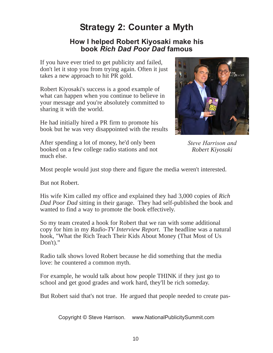# **Strategy 2: Counter a Myth**

#### **How I helped Robert Kiyosaki make his book** *Rich Dad Poor Dad* **famous**

If you have ever tried to get publicity and failed, don't let it stop you from trying again. Often it just takes a new approach to hit PR gold.

Robert Kiyosaki's success is a good example of what can happen when you continue to believe in your message and you're absolutely committed to sharing it with the world.

He had initially hired a PR firm to promote his book but he was very disappointed with the results

After spending a lot of money, he'd only been booked on a few college radio stations and not much else.



*Steve Harrison and Robert Kiyosaki* 

Most people would just stop there and figure the media weren't interested.

But not Robert.

His wife Kim called my office and explained they had 3,000 copies of *Rich Dad Poor Dad* sitting in their garage. They had self-published the book and wanted to find a way to promote the book effectively.

So my team created a hook for Robert that we ran with some additional copy for him in my *Radio-TV Interview Report*. The headline was a natural hook, "What the Rich Teach Their Kids About Money (That Most of Us Don't)."

Radio talk shows loved Robert because he did something that the media love: he countered a common myth.

For example, he would talk about how people THINK if they just go to school and get good grades and work hard, they'll be rich someday.

But Robert said that's not true. He argued that people needed to create pas-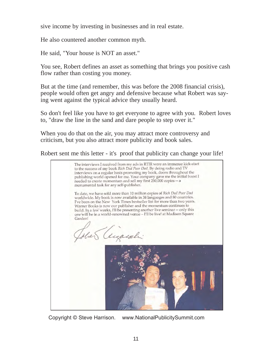sive income by investing in businesses and in real estate.

He also countered another common myth.

He said, "Your house is NOT an asset."

You see, Robert defines an asset as something that brings you positive cash flow rather than costing you money.

But at the time (and remember, this was before the 2008 financial crisis), people would often get angry and defensive because what Robert was saying went against the typical advice they usually heard.

So don't feel like you have to get everyone to agree with you. Robert loves to, "draw the line in the sand and dare people to step over it."

When you do that on the air, you may attract more controversy and criticism, but you also attract more publicity and book sales.

Robert sent me this letter - it's proof that publicity can change your life!

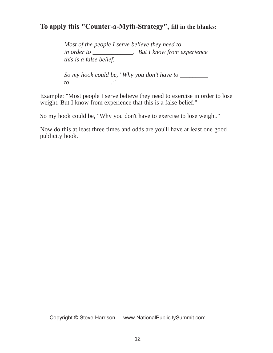#### **To apply this "Counter-a-Myth-Strategy", fill in the blanks:**

*Most of the people I serve believe they need to \_\_\_\_\_\_\_ in order to \_\_\_\_\_\_\_\_\_\_\_\_\_. But I know from experience this is a false belief.* 

*So my hook could be, "Why you don't have to \_\_\_\_\_\_\_\_\_ to \_\_\_\_\_\_\_\_\_\_\_\_\_."*

Example: "Most people I serve believe they need to exercise in order to lose weight. But I know from experience that this is a false belief."

So my hook could be, "Why you don't have to exercise to lose weight."

Now do this at least three times and odds are you'll have at least one good publicity hook.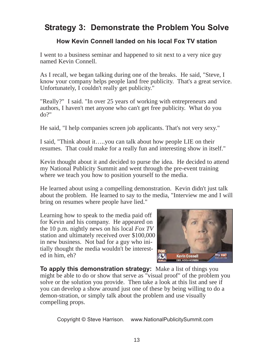### **Strategy 3: Demonstrate the Problem You Solve**

#### **How Kevin Connell landed on his local Fox TV station**

I went to a business seminar and happened to sit next to a very nice guy named Kevin Connell.

As I recall, we began talking during one of the breaks. He said, "Steve, I know your company helps people land free publicity. That's a great service. Unfortunately, I couldn't really get publicity."

"Really?" I said. "In over 25 years of working with entrepreneurs and authors, I haven't met anyone who can't get free publicity. What do you do?"

He said, "I help companies screen job applicants. That's not very sexy."

I said, "Think about it…..you can talk about how people LIE on their resumes. That could make for a really fun and interesting show in itself."

Kevin thought about it and decided to purse the idea. He decided to attend my National Publicity Summit and went through the pre-event training where we teach you how to position yourself to the media.

He learned about using a compelling demonstration. Kevin didn't just talk about the problem. He learned to say to the media, "Interview me and I will bring on resumes where people have lied."

Learning how to speak to the media paid off for Kevin and his company. He appeared on the 10 p.m. nightly news on his local *Fox TV* station and ultimately received over \$100,000 in new business. Not bad for a guy who initially thought the media wouldn't be interested in him, eh?



**To apply this demonstration strategy:** Make a list of things you might be able to do or show that serve as "visual proof" of the problem you solve or the solution you provide. Then take a look at this list and see if you can develop a show around just one of these by being willing to do a demon-stration, or simply talk about the problem and use visually compelling props.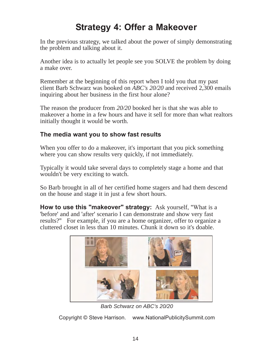# **Strategy 4: Offer a Makeover**

In the previous strategy, we talked about the power of simply demonstrating the problem and talking about it.

Another idea is to actually let people see you SOLVE the problem by doing a make over.

Remember at the beginning of this report when I told you that my past client Barb Schwarz was booked on *ABC's 20/20* and received 2,300 emails inquiring about her business in the first hour alone?

The reason the producer from *20/20* booked her is that she was able to makeover a home in a few hours and have it sell for more than what realtors initially thought it would be worth.

#### **The media want you to show fast results**

When you offer to do a makeover, it's important that you pick something where you can show results very quickly, if not immediately.

Typically it would take several days to completely stage a home and that wouldn't be very exciting to watch.

So Barb brought in all of her certified home stagers and had them descend on the house and stage it in just a few short hours.

**How to use this "makeover" strategy:** Ask yourself, "What is a 'before' and and 'after' scenario I can demonstrate and show very fast results?" For example, if you are a home organizer, offer to organize a cluttered closet in less than 10 minutes. Chunk it down so it's doable.



*Barb Schwarz on ABC's 20/20*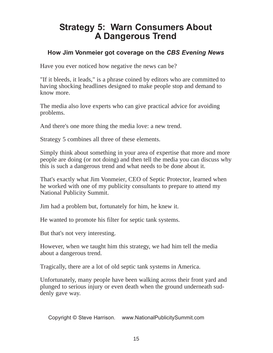### **Strategy 5: Warn Consumers About A Dangerous Trend**

#### **How Jim Vonmeier got coverage on the** *CBS Evening News*

Have you ever noticed how negative the news can be?

"If it bleeds, it leads," is a phrase coined by editors who are committed to having shocking headlines designed to make people stop and demand to know more.

The media also love experts who can give practical advice for avoiding problems.

And there's one more thing the media love: a new trend.

Strategy 5 combines all three of these elements.

Simply think about something in your area of expertise that more and more people are doing (or not doing) and then tell the media you can discuss why this is such a dangerous trend and what needs to be done about it.

That's exactly what Jim Vonmeier, CEO of Septic Protector, learned when he worked with one of my publicity consultants to prepare to attend my National Publicity Summit.

Jim had a problem but, fortunately for him, he knew it.

He wanted to promote his filter for septic tank systems.

But that's not very interesting.

However, when we taught him this strategy, we had him tell the media about a dangerous trend.

Tragically, there are a lot of old septic tank systems in America.

Unfortunately, many people have been walking across their front yard and plunged to serious injury or even death when the ground underneath suddenly gave way.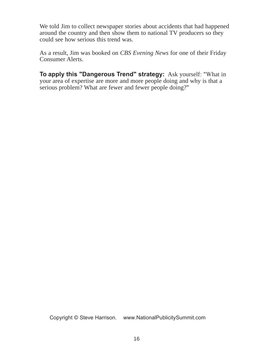We told Jim to collect newspaper stories about accidents that had happened around the country and then show them to national TV producers so they could see how serious this trend was.

As a result, Jim was booked on *CBS Evening News* for one of their Friday Consumer Alerts.

**To apply this "Dangerous Trend" strategy:** Ask yourself: "What in your area of expertise are more and more people doing and why is that a serious problem? What are fewer and fewer people doing?"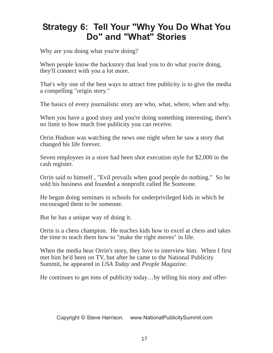# **Strategy 6: Tell Your "Why You Do What You Do" and "What" Stories**

Why are you doing what you're doing?

When people know the backstory that lead you to do what you're doing, they'll connect with you a lot more.

That's why one of the best ways to attract free publicity is to give the media a compelling "origin story."

The basics of every journalistic story are who, what, where, when and why.

When you have a good story and you're doing something interesting, there's no limit to how much free publicity you can receive.

Orrin Hudson was watching the news one night when he saw a story that changed his life forever.

Seven employees in a store had been shot execution style for \$2,000 in the cash register.

Orrin said to himself , "Evil prevails when good people do nothing." So he sold his business and founded a nonprofit called Be Someone.

He began doing seminars in schools for underprivileged kids in which he encouraged them to be someone.

But he has a unique way of doing it.

Orrin is a chess champion. He teaches kids how to excel at chess and takes the time to teach them how to "make the right moves" in life.

When the media hear Orrin's story, they love to interview him. When I first met him he'd been on TV, but after he came to the National Publicity Summit, he appeared in *USA Today* and *People Magazine*.

He continues to get tons of publicity today…by telling his story and offer-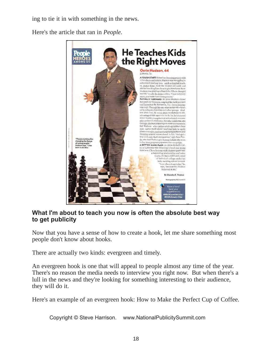ing to tie it in with something in the news.

Here's the article that ran in *People*.



#### **What I'm about to teach you now is often the absolute best way to get publicity**

Now that you have a sense of how to create a hook, let me share something most people don't know about hooks.

There are actually two kinds: evergreen and timely.

An evergreen hook is one that will appeal to people almost any time of the year. There's no reason the media needs to interview you right now. But when there's a lull in the news and they're looking for something interesting to their audience, they will do it.

Here's an example of an evergreen hook: How to Make the Perfect Cup of Coffee.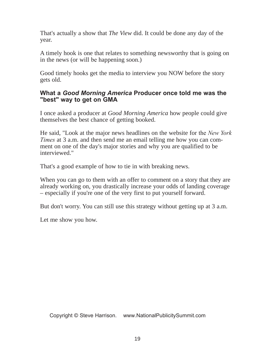That's actually a show that *The View* did. It could be done any day of the year.

A timely hook is one that relates to something newsworthy that is going on in the news (or will be happening soon.)

Good timely hooks get the media to interview you NOW before the story gets old.

#### **What a** *Good Morning America* **Producer once told me was the "best" way to get on GMA**

I once asked a producer at *Good Morning America* how people could give themselves the best chance of getting booked.

He said, "Look at the major news headlines on the website for the *New York Times* at 3 a.m. and then send me an email telling me how you can comment on one of the day's major stories and why you are qualified to be interviewed."

That's a good example of how to tie in with breaking news.

When you can go to them with an offer to comment on a story that they are already working on, you drastically increase your odds of landing coverage – especially if you're one of the very first to put yourself forward.

But don't worry. You can still use this strategy without getting up at 3 a.m.

Let me show you how.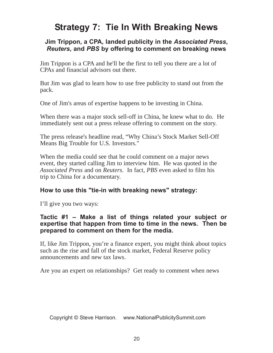# **Strategy 7: Tie In With Breaking News**

#### **Jim Trippon, a CPA, landed publicity in the** *Associated Press***,**  *Reuters***, and** *PBS* **by offering to comment on breaking news**

Jim Trippon is a CPA and he'll be the first to tell you there are a lot of CPAs and financial advisors out there.

But Jim was glad to learn how to use free publicity to stand out from the pack.

One of Jim's areas of expertise happens to be investing in China.

When there was a major stock sell-off in China, he knew what to do. He immediately sent out a press release offering to comment on the story.

The press release's headline read, "Why China's Stock Market Sell-Off Means Big Trouble for U.S. Investors."

When the media could see that he could comment on a major news event, they started calling Jim to interview him. He was quoted in the *Associated Press* and on *Reuters*. In fact, *PBS* even asked to film his trip to China for a documentary.

#### **How to use this "tie-in with breaking news" strategy:**

I'll give you two ways:

#### **Tactic #1 – Make a list of things related your subject or expertise that happen from time to time in the news. Then be prepared to comment on them for the media.**

If, like Jim Trippon, you're a finance expert, you might think about topics such as the rise and fall of the stock market, Federal Reserve policy announcements and new tax laws.

Are you an expert on relationships? Get ready to comment when news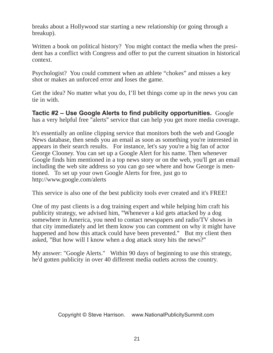breaks about a Hollywood star starting a new relationship (or going through a breakup).

Written a book on political history? You might contact the media when the president has a conflict with Congress and offer to put the current situation in historical context.

Psychologist? You could comment when an athlete "chokes" and misses a key shot or makes an unforced error and loses the game.

Get the idea? No matter what you do, I'll bet things come up in the news you can tie in with.

**Tactic #2 – Use Google Alerts to find publicity opportunities.** Google has a very helpful free "alerts" service that can help you get more media coverage.

It's essentially an online clipping service that monitors both the web and Google News database, then sends you an email as soon as something you're interested in appears in their search results. For instance, let's say you're a big fan of actor George Clooney. You can set up a Google Alert for his name. Then whenever Google finds him mentioned in a top news story or on the web, you'll get an email including the web site address so you can go see where and how George is mentioned. To set up your own Google Alerts for free, just go to <http://www.google.com/alerts>

This service is also one of the best publicity tools ever created and it's FREE!

One of my past clients is a dog training expert and while helping him craft his publicity strategy, we advised him, "Whenever a kid gets attacked by a dog somewhere in America, you need to contact newspapers and radio/TV shows in that city immediately and let them know you can comment on why it might have happened and how this attack could have been prevented." But my client then asked, "But how will I know when a dog attack story hits the news?"

My answer: "Google Alerts." Within 90 days of beginning to use this strategy, he'd gotten publicity in over 40 different media outlets across the country.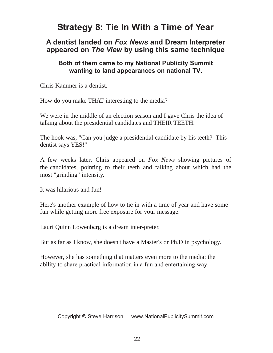# **Strategy 8: Tie In With a Time of Year**

#### **A dentist landed on** *Fox News* **and Dream Interpreter appeared on** *The View* **by using this same technique**

#### **Both of them came to my National Publicity Summit wanting to land appearances on national TV.**

Chris Kammer is a dentist.

How do you make THAT interesting to the media?

We were in the middle of an election season and I gave Chris the idea of talking about the presidential candidates and THEIR TEETH.

The hook was, "Can you judge a presidential candidate by his teeth? This dentist says YES!"

A few weeks later, Chris appeared on *Fox News* showing pictures of the candidates, pointing to their teeth and talking about which had the most "grinding" intensity.

It was hilarious and fun!

Here's another example of how to tie in with a time of year and have some fun while getting more free exposure for your message.

Lauri Quinn Lowenberg is a dream inter-preter.

But as far as I know, she doesn't have a Master's or Ph.D in psychology.

However, she has something that matters even more to the media: the ability to share practical information in a fun and entertaining way.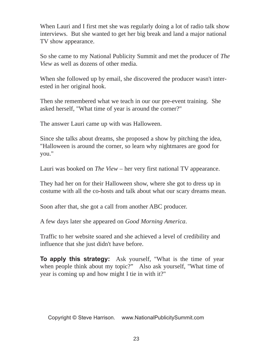When Lauri and I first met she was regularly doing a lot of radio talk show interviews. But she wanted to get her big break and land a major national TV show appearance.

So she came to my National Publicity Summit and met the producer of *The View* as well as dozens of other media.

When she followed up by email, she discovered the producer wasn't interested in her original hook.

Then she remembered what we teach in our our pre-event training. She asked herself, "What time of year is around the corner?"

The answer Lauri came up with was Halloween.

Since she talks about dreams, she proposed a show by pitching the idea, "Halloween is around the corner, so learn why nightmares are good for you."

Lauri was booked on *The View* – her very first national TV appearance.

They had her on for their Halloween show, where she got to dress up in costume with all the co-hosts and talk about what our scary dreams mean.

Soon after that, she got a call from another ABC producer.

A few days later she appeared on *Good Morning America*.

Traffic to her website soared and she achieved a level of credibility and influence that she just didn't have before.

**To apply this strategy:** Ask yourself, "What is the time of year when people think about my topic?" Also ask yourself, "What time of year is coming up and how might I tie in with it?"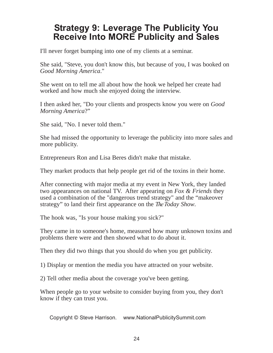### **Strategy 9: Leverage The Publicity You Receive Into MORE Publicity and Sales**

I'll never forget bumping into one of my clients at a seminar.

She said, "Steve, you don't know this, but because of you, I was booked on *Good Morning America*."

She went on to tell me all about how the hook we helped her create had worked and how much she enjoyed doing the interview.

I then asked her, "Do your clients and prospects know you were on *Good Morning America*?"

She said, "No. I never told them."

She had missed the opportunity to leverage the publicity into more sales and more publicity.

Entrepreneurs Ron and Lisa Beres didn't make that mistake.

They market products that help people get rid of the toxins in their home.

After connecting with major media at my event in New York, they landed two appearances on national TV. After appearing on *Fox & Friends* they used a combination of the "dangerous trend strategy" and the "makeover strategy" to land their first appearance on the *The Today Show*.

The hook was, "Is your house making you sick?"

They came in to someone's home, measured how many unknown toxins and problems there were and then showed what to do about it.

Then they did two things that you should do when you get publicity.

1) Display or mention the media you have attracted on your website.

2) Tell other media about the coverage you've been getting.

When people go to your website to consider buying from you, they don't know if they can trust you.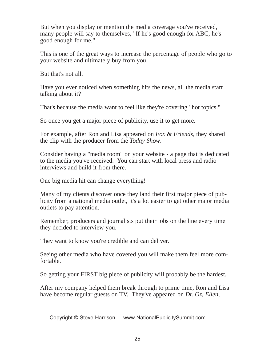But when you display or mention the media coverage you've received, many people will say to themselves, "If he's good enough for ABC, he's good enough for me."

This is one of the great ways to increase the percentage of people who go to your website and ultimately buy from you.

But that's not all.

Have you ever noticed when something hits the news, all the media start talking about it?

That's because the media want to feel like they're covering "hot topics."

So once you get a major piece of publicity, use it to get more.

For example, after Ron and Lisa appeared on *Fox & Friends*, they shared the clip with the producer from the *Today Show*.

Consider having a "media room" on your website - a page that is dedicated to the media you've received. You can start with local press and radio interviews and build it from there.

One big media hit can change everything!

Many of my clients discover once they land their first major piece of publicity from a national media outlet, it's a lot easier to get other major media outlets to pay attention.

Remember, producers and journalists put their jobs on the line every time they decided to interview you.

They want to know you're credible and can deliver.

Seeing other media who have covered you will make them feel more comfortable.

So getting your FIRST big piece of publicity will probably be the hardest.

After my company helped them break through to prime time, Ron and Lisa have become regular guests on TV. They've appeared on *Dr. Oz, Ellen,*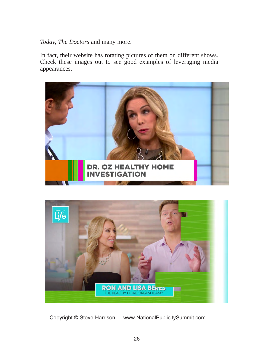*Today, The Doctors* and many more.

In fact, their website has rotating pictures of them on different shows. Check these images out to see good examples of leveraging media appearances.



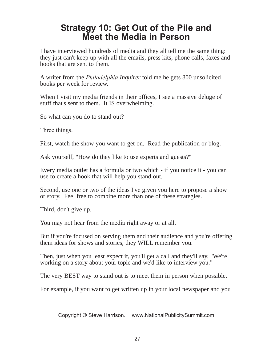### **Strategy 10: Get Out of the Pile and Meet the Media in Person**

I have interviewed hundreds of media and they all tell me the same thing: they just can't keep up with all the emails, press kits, phone calls, faxes and books that are sent to them.

A writer from the *Philadelphia Inquirer* told me he gets 800 unsolicited books per week for review.

When I visit my media friends in their offices, I see a massive deluge of stuff that's sent to them. It IS overwhelming.

So what can you do to stand out?

Three things.

First, watch the show you want to get on. Read the publication or blog.

Ask yourself, "How do they like to use experts and guests?"

Every media outlet has a formula or two which - if you notice it - you can use to create a hook that will help you stand out.

Second, use one or two of the ideas I've given you here to propose a show or story. Feel free to combine more than one of these strategies.

Third, don't give up.

You may not hear from the media right away or at all.

But if you're focused on serving them and their audience and you're offering them ideas for shows and stories, they WILL remember you.

Then, just when you least expect it, you'll get a call and they'll say, "We're working on a story about your topic and we'd like to interview you."

The very BEST way to stand out is to meet them in person when possible.

For example, if you want to get written up in your local newspaper and you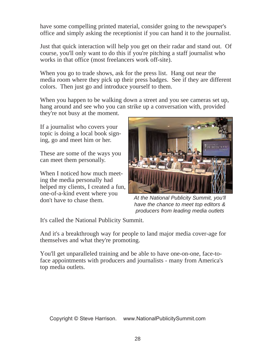have some compelling printed material, consider going to the newspaper's office and simply asking the receptionist if you can hand it to the journalist.

Just that quick interaction will help you get on their radar and stand out. Of course, you'll only want to do this if you're pitching a staff journalist who works in that office (most freelancers work off-site).

When you go to trade shows, ask for the press list. Hang out near the media room where they pick up their press badges. See if they are different colors. Then just go and introduce yourself to them.

When you happen to be walking down a street and you see cameras set up, hang around and see who you can strike up a conversation with, provided

they're not busy at the moment.

If a journalist who covers your topic is doing a local book signing, go and meet him or her.

These are some of the ways you can meet them personally.

When I noticed how much meeting the media personally had helped my clients, I created a fun, one-of-a-kind event where you don't have to chase them.



*At the National Publicity Summit, you'll have the chance to meet top editors & producers from leading media outlets*

It's called the National Publicity Summit.

And it's a breakthrough way for people to land major media cover-age for themselves and what they're promoting.

You'll get unparalleled training and be able to have one-on-one, face-toface appointments with producers and journalists - many from America's top media outlets.